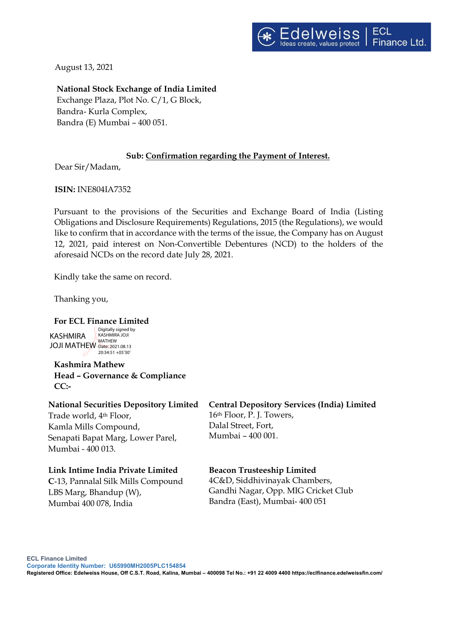August 13, 2021

**National Stock Exchange of India Limited** Exchange Plaza, Plot No. C/1, G Block, Bandra- Kurla Complex, Bandra (E) Mumbai – 400 051.

# **Sub: Confirmation regarding the Payment of Interest.**

Dear Sir/Madam,

**ISIN:** INE804IA7352

Pursuant to the provisions of the Securities and Exchange Board of India (Listing Obligations and Disclosure Requirements) Regulations, 2015 (the Regulations), we would like to confirm that in accordance with the terms of the issue, the Company has on August 12, 2021, paid interest on Non-Convertible Debentures (NCD) to the holders of the aforesaid NCDs on the record date July 28, 2021.

Kindly take the same on record.

Thanking you,

# **For ECL Finance Limited**

KASHMIRA JOJI MATHEW Date: 2021.08.13 Digitally signed by KASHMIRA JOJI **MATHEW** 20:34:51 +05'30'

**Kashmira Mathew Head – Governance & Compliance CC:-** 

#### **National Securities Depository Limited**

Trade world, 4th Floor, Kamla Mills Compound, Senapati Bapat Marg, Lower Parel, Mumbai - 400 013.

## **Link Intime India Private Limited**

**C**‐13, Pannalal Silk Mills Compound LBS Marg, Bhandup (W), Mumbai 400 078, India

**Central Depository Services (India) Limited** 16th Floor, P. J. Towers, Dalal Street, Fort, Mumbai – 400 001.

## **Beacon Trusteeship Limited**

4C&D, Siddhivinayak Chambers, Gandhi Nagar, Opp. MIG Cricket Club Bandra (East), Mumbai- 400 051

**Registered Office: Edelweiss House, Off C.S.T. Road, Kalina, Mumbai – 400098 Tel No.: +91 22 4009 4400 https://eclfinance.edelweissfin.com/**